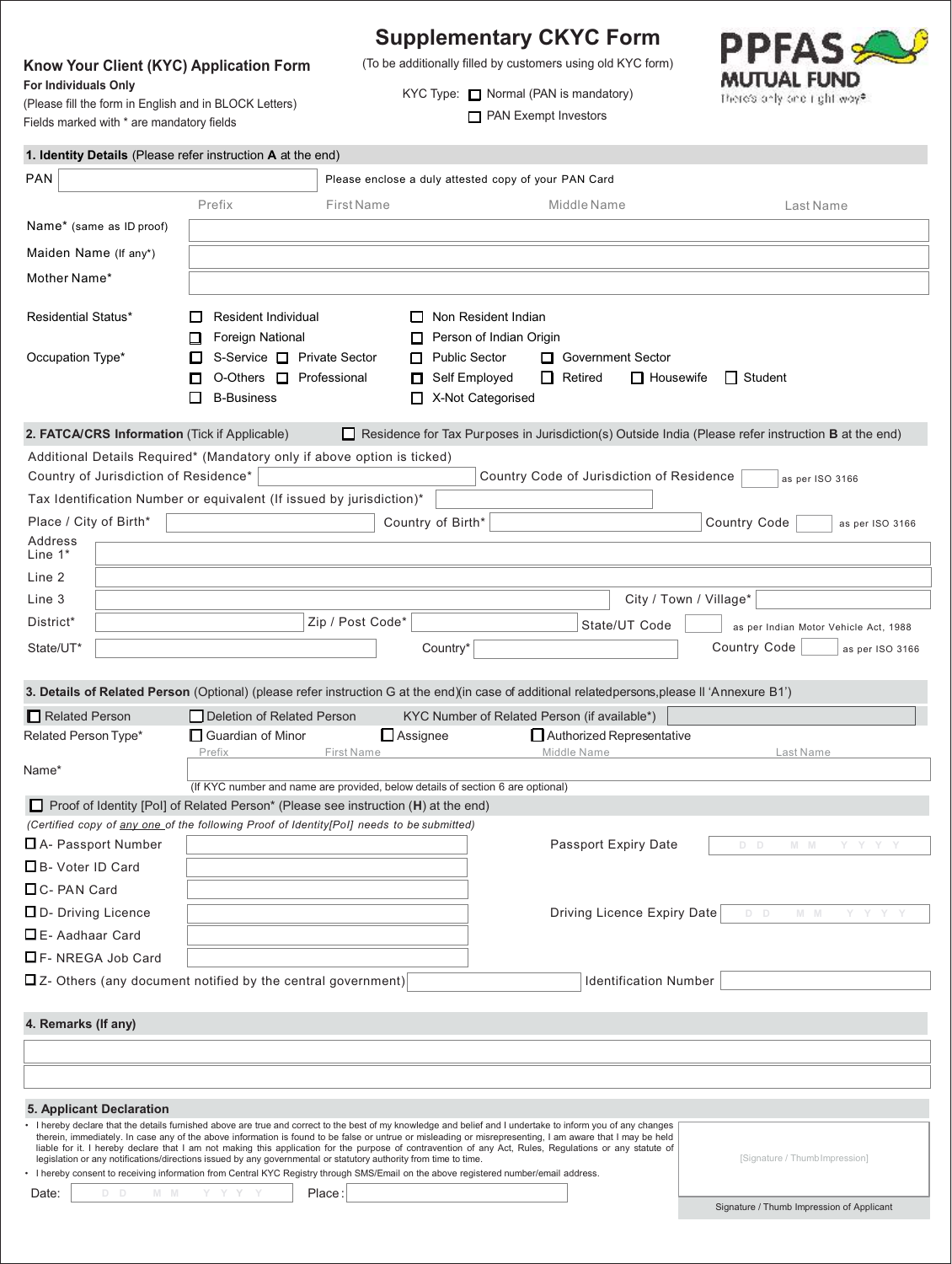# **Know Your Client (KYC) Application Form For Individuals Only**

(Please fill the form in English and in BLOCK Letters) Fields marked with \* are mandatory fields

**Supplementary CKYC Form**

(To be additionally filled by customers using old KYC form) KYC Type: **Normal** (PAN is mandatory)



Signature / Thumb Impression of Applicant

**PAN Exempt Investors** 

| 1. Identity Details (Please refer instruction A at the end)                                                                                                                                                                                                                                                                                                                                                          |                                                                                             |                                                                                |                                                                                                                                    |                                                                                                                                                |                                                                                                            |
|----------------------------------------------------------------------------------------------------------------------------------------------------------------------------------------------------------------------------------------------------------------------------------------------------------------------------------------------------------------------------------------------------------------------|---------------------------------------------------------------------------------------------|--------------------------------------------------------------------------------|------------------------------------------------------------------------------------------------------------------------------------|------------------------------------------------------------------------------------------------------------------------------------------------|------------------------------------------------------------------------------------------------------------|
| <b>PAN</b>                                                                                                                                                                                                                                                                                                                                                                                                           |                                                                                             |                                                                                | Please enclose a duly attested copy of your PAN Card                                                                               |                                                                                                                                                |                                                                                                            |
|                                                                                                                                                                                                                                                                                                                                                                                                                      | Prefix                                                                                      | <b>First Name</b>                                                              |                                                                                                                                    | Middle Name                                                                                                                                    | Last Name                                                                                                  |
| Name* (same as ID proof)                                                                                                                                                                                                                                                                                                                                                                                             |                                                                                             |                                                                                |                                                                                                                                    |                                                                                                                                                |                                                                                                            |
| Maiden Name (If any*)                                                                                                                                                                                                                                                                                                                                                                                                |                                                                                             |                                                                                |                                                                                                                                    |                                                                                                                                                |                                                                                                            |
| Mother Name*                                                                                                                                                                                                                                                                                                                                                                                                         |                                                                                             |                                                                                |                                                                                                                                    |                                                                                                                                                |                                                                                                            |
| <b>Residential Status*</b>                                                                                                                                                                                                                                                                                                                                                                                           | <b>Resident Individual</b><br>Foreign National                                              |                                                                                | $\Box$ Non Resident Indian<br>Person of Indian Origin                                                                              |                                                                                                                                                |                                                                                                            |
| Occupation Type*                                                                                                                                                                                                                                                                                                                                                                                                     | S-Service □ Private Sector<br>O-Others <b>I</b> Professional<br>П<br><b>B-Business</b><br>ப |                                                                                | Public Sector<br>□ Government Sector<br>Self Employed<br>$\Box$ Retired<br>$\Box$ Housewife<br><b>Student</b><br>X-Not Categorised |                                                                                                                                                |                                                                                                            |
| 2. FATCA/CRS Information (Tick if Applicable)                                                                                                                                                                                                                                                                                                                                                                        |                                                                                             |                                                                                |                                                                                                                                    |                                                                                                                                                | Residence for Tax Purposes in Jurisdiction(s) Outside India (Please refer instruction <b>B</b> at the end) |
| Additional Details Required* (Mandatory only if above option is ticked)                                                                                                                                                                                                                                                                                                                                              |                                                                                             |                                                                                |                                                                                                                                    |                                                                                                                                                |                                                                                                            |
| Country of Jurisdiction of Residence*                                                                                                                                                                                                                                                                                                                                                                                |                                                                                             |                                                                                |                                                                                                                                    | Country Code of Jurisdiction of Residence                                                                                                      | as per ISO 3166                                                                                            |
| Tax Identification Number or equivalent (If issued by jurisdiction)*                                                                                                                                                                                                                                                                                                                                                 |                                                                                             |                                                                                |                                                                                                                                    |                                                                                                                                                |                                                                                                            |
| Place / City of Birth*                                                                                                                                                                                                                                                                                                                                                                                               |                                                                                             |                                                                                | Country of Birth*                                                                                                                  |                                                                                                                                                | Country Code<br>as per ISO 3166                                                                            |
| Address<br>Line $1^*$                                                                                                                                                                                                                                                                                                                                                                                                |                                                                                             |                                                                                |                                                                                                                                    |                                                                                                                                                |                                                                                                            |
| Line 2                                                                                                                                                                                                                                                                                                                                                                                                               |                                                                                             |                                                                                |                                                                                                                                    |                                                                                                                                                |                                                                                                            |
| Line 3                                                                                                                                                                                                                                                                                                                                                                                                               |                                                                                             |                                                                                |                                                                                                                                    | City / Town / Village*                                                                                                                         |                                                                                                            |
| District*                                                                                                                                                                                                                                                                                                                                                                                                            |                                                                                             | Zip / Post Code*                                                               |                                                                                                                                    |                                                                                                                                                |                                                                                                            |
|                                                                                                                                                                                                                                                                                                                                                                                                                      |                                                                                             |                                                                                |                                                                                                                                    | State/UT Code                                                                                                                                  | as per Indian Motor Vehicle Act, 1988                                                                      |
| State/UT*                                                                                                                                                                                                                                                                                                                                                                                                            |                                                                                             |                                                                                | Country*                                                                                                                           |                                                                                                                                                | Country Code<br>as per ISO 3166                                                                            |
|                                                                                                                                                                                                                                                                                                                                                                                                                      |                                                                                             |                                                                                |                                                                                                                                    | 3. Details of Related Person (Optional) (please refer instruction G at the end)(in case of additional relatedpersons, please II 'Annexure B1') |                                                                                                            |
| Related Person                                                                                                                                                                                                                                                                                                                                                                                                       | Deletion of Related Person                                                                  |                                                                                |                                                                                                                                    | KYC Number of Related Person (if available*)                                                                                                   |                                                                                                            |
| Related Person Type*                                                                                                                                                                                                                                                                                                                                                                                                 | □ Guardian of Minor                                                                         |                                                                                | $\Box$ Assignee                                                                                                                    | Authorized Representative                                                                                                                      |                                                                                                            |
| Name*                                                                                                                                                                                                                                                                                                                                                                                                                | Prefix                                                                                      | <b>First Name</b>                                                              |                                                                                                                                    | Middle Name                                                                                                                                    | Last Name                                                                                                  |
|                                                                                                                                                                                                                                                                                                                                                                                                                      |                                                                                             | (If KYC number and name are provided, below details of section 6 are optional) |                                                                                                                                    |                                                                                                                                                |                                                                                                            |
| □ Proof of Identity [Pol] of Related Person* (Please see instruction (H) at the end)                                                                                                                                                                                                                                                                                                                                 |                                                                                             |                                                                                |                                                                                                                                    |                                                                                                                                                |                                                                                                            |
| (Certified copy of any one of the following Proof of Identity[PoI] needs to be submitted)                                                                                                                                                                                                                                                                                                                            |                                                                                             |                                                                                |                                                                                                                                    |                                                                                                                                                |                                                                                                            |
| $\Box$ A- Passport Number                                                                                                                                                                                                                                                                                                                                                                                            |                                                                                             |                                                                                |                                                                                                                                    | <b>Passport Expiry Date</b>                                                                                                                    | DD MM YYYY                                                                                                 |
| □B- Voter ID Card                                                                                                                                                                                                                                                                                                                                                                                                    |                                                                                             |                                                                                |                                                                                                                                    |                                                                                                                                                |                                                                                                            |
| $\Box$ C- PAN Card                                                                                                                                                                                                                                                                                                                                                                                                   |                                                                                             |                                                                                |                                                                                                                                    |                                                                                                                                                |                                                                                                            |
| $\Box$ D- Driving Licence                                                                                                                                                                                                                                                                                                                                                                                            |                                                                                             |                                                                                |                                                                                                                                    | Driving Licence Expiry Date                                                                                                                    | $M$ $M$<br>D D<br>Y Y                                                                                      |
| $\Box$ E- Aadhaar Card                                                                                                                                                                                                                                                                                                                                                                                               |                                                                                             |                                                                                |                                                                                                                                    |                                                                                                                                                |                                                                                                            |
| $\Box$ F- NREGA Job Card                                                                                                                                                                                                                                                                                                                                                                                             |                                                                                             |                                                                                |                                                                                                                                    |                                                                                                                                                |                                                                                                            |
| $\Box$ Z- Others (any document notified by the central government)                                                                                                                                                                                                                                                                                                                                                   |                                                                                             |                                                                                |                                                                                                                                    | <b>Identification Number</b>                                                                                                                   |                                                                                                            |
|                                                                                                                                                                                                                                                                                                                                                                                                                      |                                                                                             |                                                                                |                                                                                                                                    |                                                                                                                                                |                                                                                                            |
| 4. Remarks (If any)                                                                                                                                                                                                                                                                                                                                                                                                  |                                                                                             |                                                                                |                                                                                                                                    |                                                                                                                                                |                                                                                                            |
|                                                                                                                                                                                                                                                                                                                                                                                                                      |                                                                                             |                                                                                |                                                                                                                                    |                                                                                                                                                |                                                                                                            |
|                                                                                                                                                                                                                                                                                                                                                                                                                      |                                                                                             |                                                                                |                                                                                                                                    |                                                                                                                                                |                                                                                                            |
| 5. Applicant Declaration                                                                                                                                                                                                                                                                                                                                                                                             |                                                                                             |                                                                                |                                                                                                                                    |                                                                                                                                                |                                                                                                            |
| • I hereby declare that the details furnished above are true and correct to the best of my knowledge and belief and I undertake to inform you of any changes<br>therein, immediately. In case any of the above information is found to be false or untrue or misleading or misrepresenting, I am aware that I may be held                                                                                            |                                                                                             |                                                                                |                                                                                                                                    |                                                                                                                                                |                                                                                                            |
| liable for it. I hereby declare that I am not making this application for the purpose of contravention of any Act, Rules, Regulations or any statute of<br>legislation or any notifications/directions issued by any governmental or statutory authority from time to time.<br>• I hereby consent to receiving information from Central KYC Registry through SMS/Email on the above registered number/email address. |                                                                                             |                                                                                |                                                                                                                                    |                                                                                                                                                | [Signature / Thumb Impression]                                                                             |
| Date:<br>D D<br>M M                                                                                                                                                                                                                                                                                                                                                                                                  |                                                                                             | Place:                                                                         |                                                                                                                                    |                                                                                                                                                |                                                                                                            |